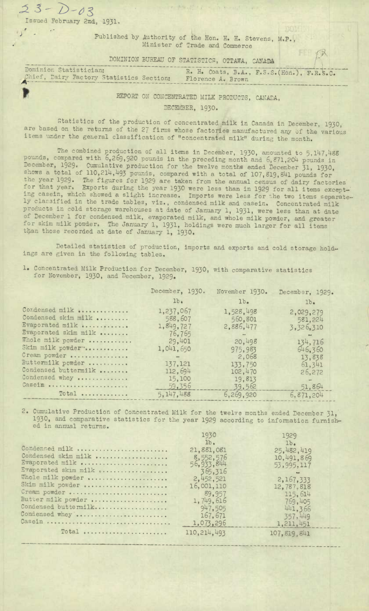Issued February 2nd, 1931.

 $23 - D - 03$ 

Published by Authority of the Hon. H. H. Stevens, M,P., Minister of Trade and Commerce

DOMINION BUREAU OF STATISTICE, OTTAWA, CANADA

| Dominion Statistician:                   |                                            |
|------------------------------------------|--------------------------------------------|
|                                          | R. H. Coats, B.A., F.S.S. (Hon.), F.R.S.C. |
|                                          |                                            |
| Chief, Dairy Factory Statistics Section: |                                            |
|                                          | Florence A. Brown                          |
|                                          |                                            |
|                                          |                                            |

REPORT ON CONCENTRATED MILK PRODUCTS, CANADA,

DECEMBER, 1930.

tatistics of the production of concentrated milk **In** Canada in December, 1930, are based on the returns of the 27 firms whose factories manufactured any of the various items under the general classification of "concentrated milk" during the month.

The combined production of all items in December, 1930, amounted to 5,147,488 pounds, compared with 6,269,920 pounds in the preceding month and 6,871,204 pounds in December, 1929. Cumulative production for the twelve month shows a total of 110,214,493 pounds, compared with a total of 107, 819, 841 pounds for<br>the year 1929. The figures for 1929 are taken from the annual census of dairy factories for that year, Exports during the year 1930 were less than in 1929 for all items excepting casein, which showed a slight increase. Imports were less for the two items separately clacslfied In the trade tables, viz., condensed milk and casein. Concentrated milk products in cold storage warehouses at date of January 1, 1931, were less than at date of December 1 for condensed milk, evaporated milk, and whole milk powder, and greater for skim milk powder. The January 1, 1931, holdings were much larger for all items than those recorded at date of January 1, 1930.

Detailed statistics of production, imports and exports and cold storage holdings are given in the following tables,

|                                                                                                                                                                                                                     | December, 1930.<br>$1b -$                                                                                    | November 1930.<br>$1b_{\bullet}$                                                                          | December, 1929.<br>1b <sub>•</sub>                                                              |
|---------------------------------------------------------------------------------------------------------------------------------------------------------------------------------------------------------------------|--------------------------------------------------------------------------------------------------------------|-----------------------------------------------------------------------------------------------------------|-------------------------------------------------------------------------------------------------|
| Condensed milk<br>Condensed skim milk<br>Evaporated milk<br>Evaporated skim milk<br>Whole milk powder<br>Skim milk powder"<br>Cream powder<br>Buttermilk powder<br>Condensed buttermilk<br>Condensed whey<br>Casein | 1,237,067<br>588.607<br>1,849,727<br>76.765<br>29,401<br>1,041,650<br>137,121<br>112,694<br>15,100<br>59,356 | 1,528,498<br>560,801<br>2,886,477<br>20,498<br>975,983<br>2,068<br>133.750<br>102,470<br>19,813<br>39,562 | 2,029,279<br>581,224<br>3,326,310<br>134,716<br>646.360<br>13.838<br>61,341<br>26,272<br>51,864 |
| Total                                                                                                                                                                                                               | 5, 147, 488                                                                                                  | 6,269,920                                                                                                 | 6,871,204                                                                                       |

1. Concentrated Milk Production for December, 1930, with comparative statistics for November, 1930, and December, 1929.

2. Cumulative Production of Concentrated Milk for the twelve months ended December 31, 1930, and comparative statistics for the year 1929 according to information furnished in annual returns.

|                      | 1930           | 1929           |
|----------------------|----------------|----------------|
|                      | 1 <sub>b</sub> | 1 <sub>b</sub> |
| Condensed milk       | 21,881,081     | 25, 482, 419   |
| Condensed skim milk  | 8,552,576      | 10,491,869     |
| Evaporated milk      | 56,933,844     | 53,995,117     |
| Evaporated skim milk | 365.316        |                |
| Whole milk powder    | 2,452,521      | 2,167,333      |
| Skim milk powder     | 16,001,110     | 12,787.818     |
| Cream powder         | 89.957         | 115.614        |
| Butter milk powder   | 1,749,616      | 769,405        |
| Condensed buttermilk | 947.505        | 441, 366       |
| Condensed whey       | 167,671        |                |
| Casein               |                | 357.449        |
|                      | 1,073,296      | 1,211,451      |
| Total                | 110,214.493    | 107, 819, 841  |
|                      |                |                |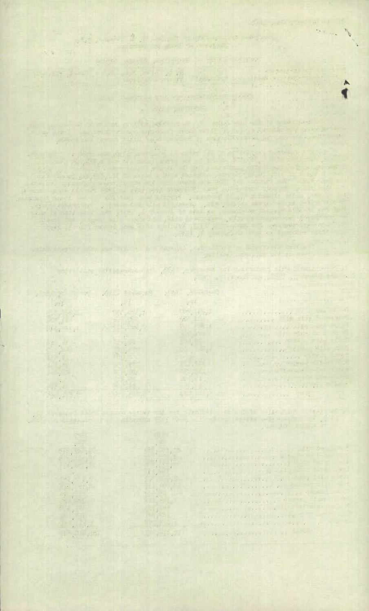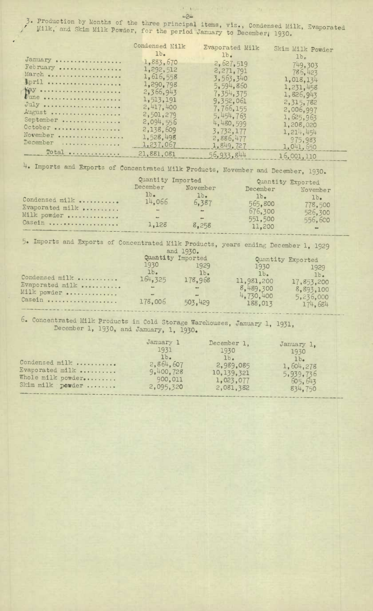$\mathcal{W}$  $-24$ 

 $\mathcal{H}_{\mathbb{R}}$ 

3. Production by Months of the three principal items, viz., Condensed Milk, Evaporated Milk, and Skim Milk Powder, for the period January to December, 1930.

| January<br>February<br>March<br>April<br>June<br>$July$ | Condensed Milk<br>$1b -$<br>1,883,670<br>1,292,512<br>1, 616, 558<br>1,290,798<br>2,366,943<br>1,513,191<br>2,417,400 | Evaporated Milk<br>$1b_{\bullet}$<br>2,627,519<br>2,271,791<br>3,563,340<br>5,594,850<br>7,354,375<br>9,352,061<br>7,766,155 | Skim Milk Powder<br>1b <sub>e</sub><br>749,303<br>785.423<br>1,018.134<br>1,231,458<br>1,826,943<br>2, 315, 782 |
|---------------------------------------------------------|-----------------------------------------------------------------------------------------------------------------------|------------------------------------------------------------------------------------------------------------------------------|-----------------------------------------------------------------------------------------------------------------|
| August                                                  | 2,501,279                                                                                                             | 5, 454, 763                                                                                                                  | 1,625,963                                                                                                       |
| September                                               | 2,094,556                                                                                                             | 4,480,599                                                                                                                    | 1,208,020                                                                                                       |
| October                                                 | 2,138,609                                                                                                             | 3,732,177                                                                                                                    | 1, 21; 454                                                                                                      |
| November                                                | 1,528,498                                                                                                             | 2,886,477                                                                                                                    | 975.983                                                                                                         |
| December                                                | 1,237,067                                                                                                             | 1,849,727                                                                                                                    | 1,041,650                                                                                                       |
| $Total$                                                 | 21,881,081                                                                                                            | 56,933,844                                                                                                                   | 16,001,110                                                                                                      |

4. Imports and Exports of Concentrated Milk Products, November and December, 1930.

| Condensed milk<br>Evaporated milk<br>Milk powder<br>Casein | December<br>$1b -$<br>14.066<br><b>Gun</b> | Quantity Imported<br>November<br>1 <sub>b</sub><br>6.387 | Quantity Exported<br>December<br>1 <sub>b</sub><br>565.800<br>676,300<br>551,500 | November<br>1 <sub>b</sub><br>778,500<br>526,300<br>556,600 |
|------------------------------------------------------------|--------------------------------------------|----------------------------------------------------------|----------------------------------------------------------------------------------|-------------------------------------------------------------|
|                                                            | 1,128                                      | 8.258                                                    | 11,200                                                                           | <b>Bank</b>                                                 |

5. Imports and Exports of Concentrated Milk Products, years ending December 1, 1929 and 1930. Quantity Imported Quantity Exported  $\begin{array}{c} 1929 \\ 1b. \end{array}$ 1930 1930 1929  $1b.$ 11,981,200 17,853,200<br>
8,489,300 8,893,100<br>
4,730,400 5,236,000<br>
188,013 174,684 Condensed milk .......... 164,325 178,968 Evaporated milk ........... Milk powder ............. Casein ................... 178,006

503,429

6. Concentrated Milk Products in Cold Storage Warehouses, January 1, 1931, December 1, 1930, and January, 1, 1930.

| Condensed milk<br>Evaporated milk<br>Whole milk powder<br>Skim milk powder | January 1<br>1931<br>$1b_{\bullet}$<br>2,864,607<br>9,400,728<br>900,011<br>2,095,320 | December 1.<br>1930<br>$1b$ .<br>2,989.085<br>10, 139, 321<br>1,023,077<br>2,081,382 | January 1.<br>1930<br>1 <sub>b</sub><br>1,604,278<br>5,939,736<br>605.643<br>834,750 |
|----------------------------------------------------------------------------|---------------------------------------------------------------------------------------|--------------------------------------------------------------------------------------|--------------------------------------------------------------------------------------|
|                                                                            |                                                                                       |                                                                                      |                                                                                      |